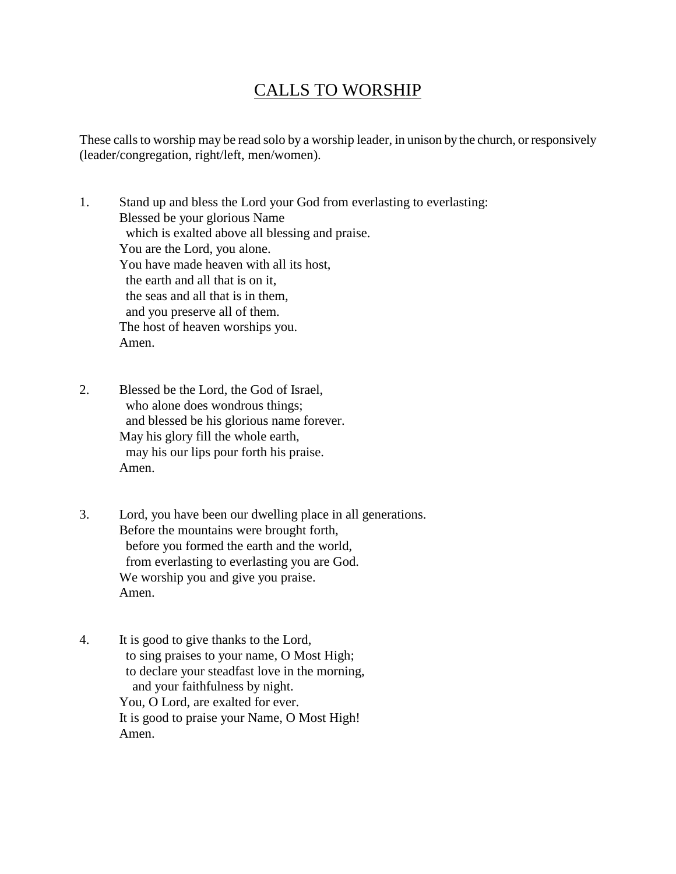## CALLS TO WORSHIP

These calls to worship may be read solo by a worship leader, in unison by the church, or responsively (leader/congregation, right/left, men/women).

1. Stand up and bless the Lord your God from everlasting to everlasting: Blessed be your glorious Name which is exalted above all blessing and praise. You are the Lord, you alone. You have made heaven with all its host, the earth and all that is on it, the seas and all that is in them, and you preserve all of them. The host of heaven worships you. Amen.

- 2. Blessed be the Lord, the God of Israel, who alone does wondrous things; and blessed be his glorious name forever. May his glory fill the whole earth, may his our lips pour forth his praise. Amen.
- 3. Lord, you have been our dwelling place in all generations. Before the mountains were brought forth, before you formed the earth and the world, from everlasting to everlasting you are God. We worship you and give you praise. Amen.
- 4. It is good to give thanks to the Lord, to sing praises to your name, O Most High; to declare your steadfast love in the morning, and your faithfulness by night. You, O Lord, are exalted for ever. It is good to praise your Name, O Most High! Amen.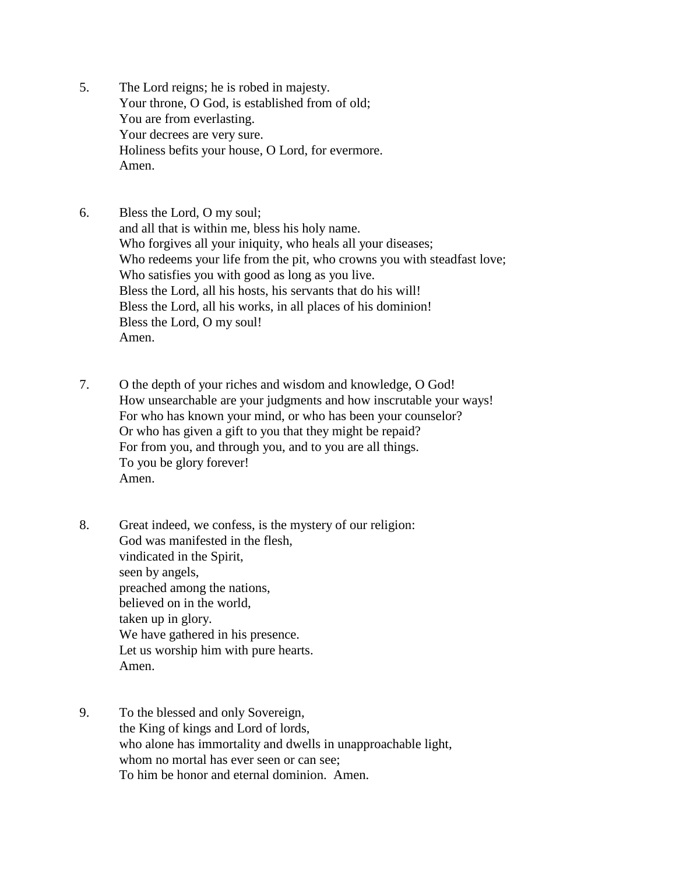- 5. The Lord reigns; he is robed in majesty. Your throne, O God, is established from of old; You are from everlasting. Your decrees are very sure. Holiness befits your house, O Lord, for evermore. Amen.
- 6. Bless the Lord, O my soul; and all that is within me, bless his holy name. Who forgives all your iniquity, who heals all your diseases; Who redeems your life from the pit, who crowns you with steadfast love; Who satisfies you with good as long as you live. Bless the Lord, all his hosts, his servants that do his will! Bless the Lord, all his works, in all places of his dominion! Bless the Lord, O my soul! Amen.
- 7. O the depth of your riches and wisdom and knowledge, O God! How unsearchable are your judgments and how inscrutable your ways! For who has known your mind, or who has been your counselor? Or who has given a gift to you that they might be repaid? For from you, and through you, and to you are all things. To you be glory forever! Amen.
- 8. Great indeed, we confess, is the mystery of our religion: God was manifested in the flesh, vindicated in the Spirit, seen by angels, preached among the nations, believed on in the world, taken up in glory. We have gathered in his presence. Let us worship him with pure hearts. Amen.
- 9. To the blessed and only Sovereign, the King of kings and Lord of lords, who alone has immortality and dwells in unapproachable light, whom no mortal has ever seen or can see: To him be honor and eternal dominion. Amen.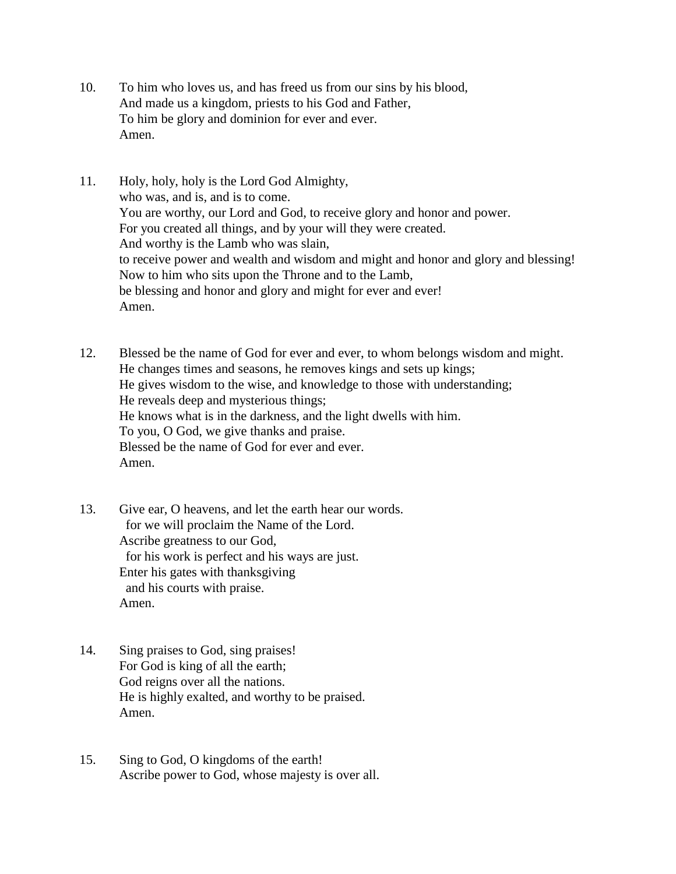- 10. To him who loves us, and has freed us from our sins by his blood, And made us a kingdom, priests to his God and Father, To him be glory and dominion for ever and ever. Amen.
- 11. Holy, holy, holy is the Lord God Almighty, who was, and is, and is to come. You are worthy, our Lord and God, to receive glory and honor and power. For you created all things, and by your will they were created. And worthy is the Lamb who was slain, to receive power and wealth and wisdom and might and honor and glory and blessing! Now to him who sits upon the Throne and to the Lamb, be blessing and honor and glory and might for ever and ever! Amen.
- 12. Blessed be the name of God for ever and ever, to whom belongs wisdom and might. He changes times and seasons, he removes kings and sets up kings; He gives wisdom to the wise, and knowledge to those with understanding; He reveals deep and mysterious things; He knows what is in the darkness, and the light dwells with him. To you, O God, we give thanks and praise. Blessed be the name of God for ever and ever. Amen.
- 13. Give ear, O heavens, and let the earth hear our words. for we will proclaim the Name of the Lord. Ascribe greatness to our God, for his work is perfect and his ways are just. Enter his gates with thanksgiving and his courts with praise. Amen.
- 14. Sing praises to God, sing praises! For God is king of all the earth; God reigns over all the nations. He is highly exalted, and worthy to be praised. Amen.
- 15. Sing to God, O kingdoms of the earth! Ascribe power to God, whose majesty is over all.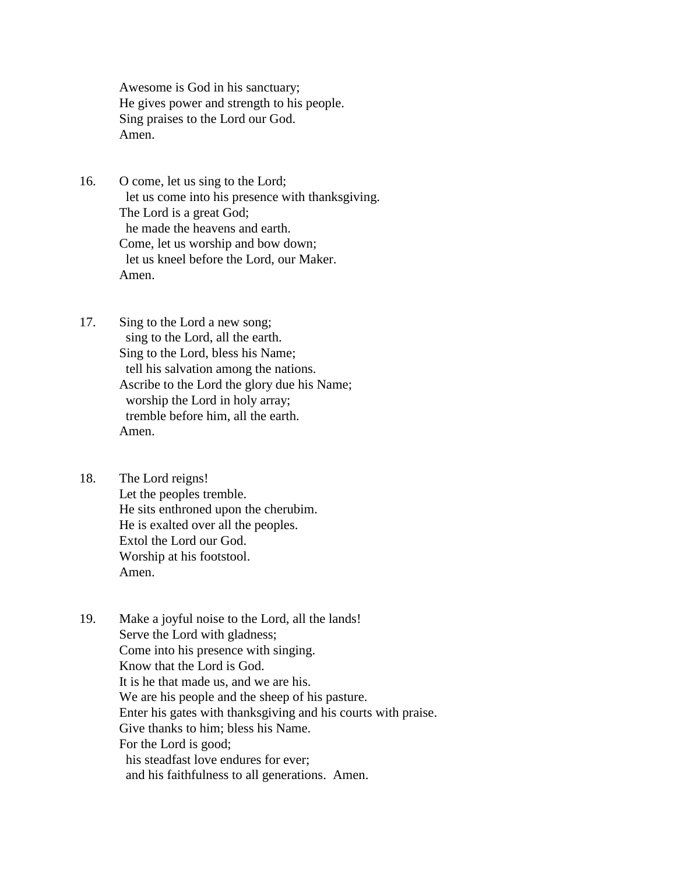Awesome is God in his sanctuary; He gives power and strength to his people. Sing praises to the Lord our God. Amen.

- 16. O come, let us sing to the Lord; let us come into his presence with thanksgiving. The Lord is a great God; he made the heavens and earth. Come, let us worship and bow down; let us kneel before the Lord, our Maker. Amen.
- 17. Sing to the Lord a new song; sing to the Lord, all the earth. Sing to the Lord, bless his Name; tell his salvation among the nations. Ascribe to the Lord the glory due his Name; worship the Lord in holy array; tremble before him, all the earth. Amen.
- 18. The Lord reigns! Let the peoples tremble. He sits enthroned upon the cherubim. He is exalted over all the peoples. Extol the Lord our God. Worship at his footstool. Amen.
- 19. Make a joyful noise to the Lord, all the lands! Serve the Lord with gladness; Come into his presence with singing. Know that the Lord is God. It is he that made us, and we are his. We are his people and the sheep of his pasture. Enter his gates with thanksgiving and his courts with praise. Give thanks to him; bless his Name. For the Lord is good; his steadfast love endures for ever; and his faithfulness to all generations. Amen.